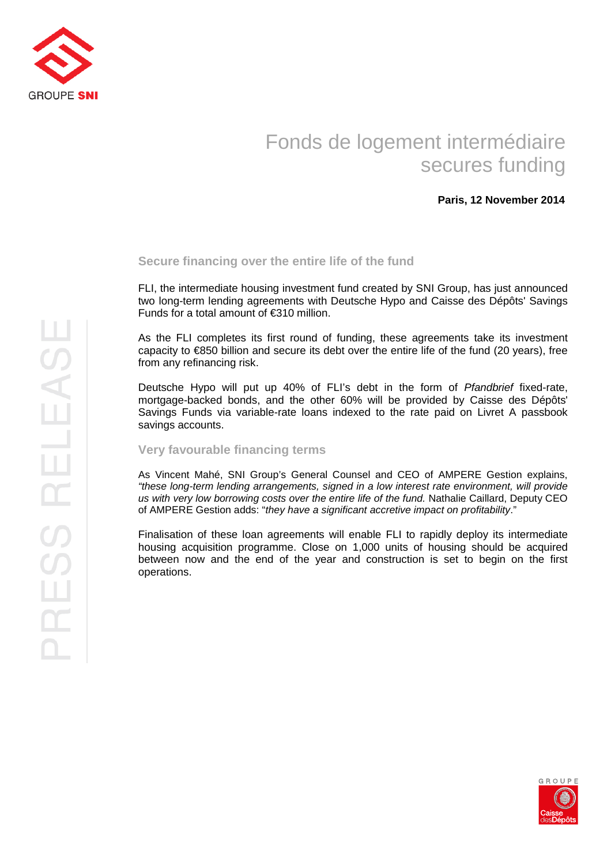

# Fonds de logement intermédiaire secures funding

## **Paris, 12 November 2014**

### **Secure financing over the entire life of the fund**

FLI, the intermediate housing investment fund created by SNI Group, has just announced two long-term lending agreements with Deutsche Hypo and Caisse des Dépôts' Savings Funds for a total amount of €310 million.

As the FLI completes its first round of funding, these agreements take its investment capacity to  $\epsilon$ 850 billion and secure its debt over the entire life of the fund (20 years), free from any refinancing risk.

Deutsche Hypo will put up 40% of FLI's debt in the form of Pfandbrief fixed-rate, mortgage-backed bonds, and the other 60% will be provided by Caisse des Dépôts' Savings Funds via variable-rate loans indexed to the rate paid on Livret A passbook savings accounts.

#### **Very favourable financing terms**

As Vincent Mahé, SNI Group's General Counsel and CEO of AMPERE Gestion explains, "these long-term lending arrangements, signed in a low interest rate environment, will provide us with very low borrowing costs over the entire life of the fund. Nathalie Caillard, Deputy CEO of AMPERE Gestion adds: "they have a significant accretive impact on profitability."

Finalisation of these loan agreements will enable FLI to rapidly deploy its intermediate housing acquisition programme. Close on 1,000 units of housing should be acquired between now and the end of the year and construction is set to begin on the first operations.